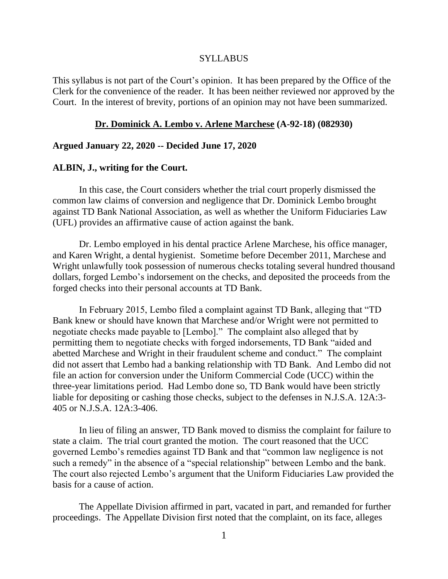### SYLLABUS

This syllabus is not part of the Court's opinion. It has been prepared by the Office of the Clerk for the convenience of the reader. It has been neither reviewed nor approved by the Court. In the interest of brevity, portions of an opinion may not have been summarized.

### **Dr. Dominick A. Lembo v. Arlene Marchese (A-92-18) (082930)**

### **Argued January 22, 2020 -- Decided June 17, 2020**

### **ALBIN, J., writing for the Court.**

In this case, the Court considers whether the trial court properly dismissed the common law claims of conversion and negligence that Dr. Dominick Lembo brought against TD Bank National Association, as well as whether the Uniform Fiduciaries Law (UFL) provides an affirmative cause of action against the bank.

Dr. Lembo employed in his dental practice Arlene Marchese, his office manager, and Karen Wright, a dental hygienist. Sometime before December 2011, Marchese and Wright unlawfully took possession of numerous checks totaling several hundred thousand dollars, forged Lembo's indorsement on the checks, and deposited the proceeds from the forged checks into their personal accounts at TD Bank.

In February 2015, Lembo filed a complaint against TD Bank, alleging that "TD Bank knew or should have known that Marchese and/or Wright were not permitted to negotiate checks made payable to [Lembo]." The complaint also alleged that by permitting them to negotiate checks with forged indorsements, TD Bank "aided and abetted Marchese and Wright in their fraudulent scheme and conduct." The complaint did not assert that Lembo had a banking relationship with TD Bank. And Lembo did not file an action for conversion under the Uniform Commercial Code (UCC) within the three-year limitations period. Had Lembo done so, TD Bank would have been strictly liable for depositing or cashing those checks, subject to the defenses in N.J.S.A. 12A:3- 405 or N.J.S.A. 12A:3-406.

In lieu of filing an answer, TD Bank moved to dismiss the complaint for failure to state a claim. The trial court granted the motion. The court reasoned that the UCC governed Lembo's remedies against TD Bank and that "common law negligence is not such a remedy" in the absence of a "special relationship" between Lembo and the bank. The court also rejected Lembo's argument that the Uniform Fiduciaries Law provided the basis for a cause of action.

The Appellate Division affirmed in part, vacated in part, and remanded for further proceedings. The Appellate Division first noted that the complaint, on its face, alleges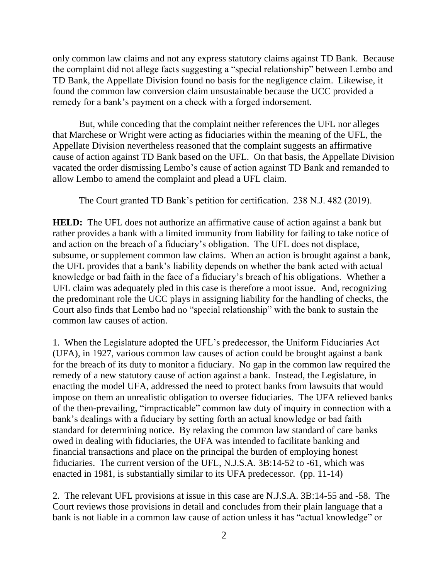only common law claims and not any express statutory claims against TD Bank. Because the complaint did not allege facts suggesting a "special relationship" between Lembo and TD Bank, the Appellate Division found no basis for the negligence claim. Likewise, it found the common law conversion claim unsustainable because the UCC provided a remedy for a bank's payment on a check with a forged indorsement.

But, while conceding that the complaint neither references the UFL nor alleges that Marchese or Wright were acting as fiduciaries within the meaning of the UFL, the Appellate Division nevertheless reasoned that the complaint suggests an affirmative cause of action against TD Bank based on the UFL. On that basis, the Appellate Division vacated the order dismissing Lembo's cause of action against TD Bank and remanded to allow Lembo to amend the complaint and plead a UFL claim.

The Court granted TD Bank's petition for certification. 238 N.J. 482 (2019).

**HELD:** The UFL does not authorize an affirmative cause of action against a bank but rather provides a bank with a limited immunity from liability for failing to take notice of and action on the breach of a fiduciary's obligation. The UFL does not displace, subsume, or supplement common law claims. When an action is brought against a bank, the UFL provides that a bank's liability depends on whether the bank acted with actual knowledge or bad faith in the face of a fiduciary's breach of his obligations. Whether a UFL claim was adequately pled in this case is therefore a moot issue. And, recognizing the predominant role the UCC plays in assigning liability for the handling of checks, the Court also finds that Lembo had no "special relationship" with the bank to sustain the common law causes of action.

1. When the Legislature adopted the UFL's predecessor, the Uniform Fiduciaries Act (UFA), in 1927, various common law causes of action could be brought against a bank for the breach of its duty to monitor a fiduciary. No gap in the common law required the remedy of a new statutory cause of action against a bank. Instead, the Legislature, in enacting the model UFA, addressed the need to protect banks from lawsuits that would impose on them an unrealistic obligation to oversee fiduciaries. The UFA relieved banks of the then-prevailing, "impracticable" common law duty of inquiry in connection with a bank's dealings with a fiduciary by setting forth an actual knowledge or bad faith standard for determining notice. By relaxing the common law standard of care banks owed in dealing with fiduciaries, the UFA was intended to facilitate banking and financial transactions and place on the principal the burden of employing honest fiduciaries. The current version of the UFL, N.J.S.A. 3B:14-52 to -61, which was enacted in 1981, is substantially similar to its UFA predecessor. (pp. 11-14)

2. The relevant UFL provisions at issue in this case are N.J.S.A. 3B:14-55 and -58. The Court reviews those provisions in detail and concludes from their plain language that a bank is not liable in a common law cause of action unless it has "actual knowledge" or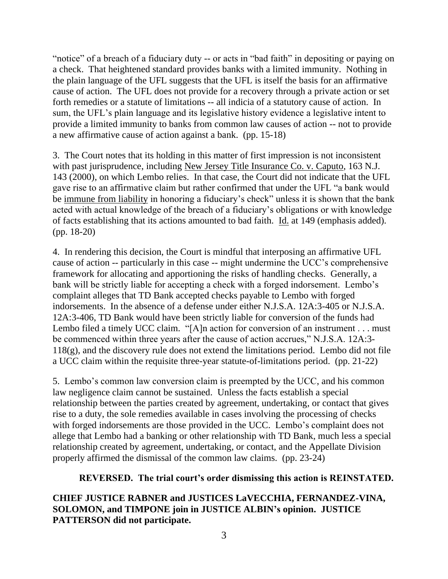"notice" of a breach of a fiduciary duty -- or acts in "bad faith" in depositing or paying on a check. That heightened standard provides banks with a limited immunity. Nothing in the plain language of the UFL suggests that the UFL is itself the basis for an affirmative cause of action. The UFL does not provide for a recovery through a private action or set forth remedies or a statute of limitations -- all indicia of a statutory cause of action. In sum, the UFL's plain language and its legislative history evidence a legislative intent to provide a limited immunity to banks from common law causes of action -- not to provide a new affirmative cause of action against a bank. (pp. 15-18)

3. The Court notes that its holding in this matter of first impression is not inconsistent with past jurisprudence, including New Jersey Title Insurance Co. v. Caputo, 163 N.J. 143 (2000), on which Lembo relies. In that case, the Court did not indicate that the UFL gave rise to an affirmative claim but rather confirmed that under the UFL "a bank would be immune from liability in honoring a fiduciary's check" unless it is shown that the bank acted with actual knowledge of the breach of a fiduciary's obligations or with knowledge of facts establishing that its actions amounted to bad faith. Id. at 149 (emphasis added). (pp. 18-20)

4. In rendering this decision, the Court is mindful that interposing an affirmative UFL cause of action -- particularly in this case -- might undermine the UCC's comprehensive framework for allocating and apportioning the risks of handling checks. Generally, a bank will be strictly liable for accepting a check with a forged indorsement. Lembo's complaint alleges that TD Bank accepted checks payable to Lembo with forged indorsements. In the absence of a defense under either N.J.S.A. 12A:3-405 or N.J.S.A. 12A:3-406, TD Bank would have been strictly liable for conversion of the funds had Lembo filed a timely UCC claim. "[A]n action for conversion of an instrument . . . must be commenced within three years after the cause of action accrues," N.J.S.A. 12A:3- 118(g), and the discovery rule does not extend the limitations period. Lembo did not file a UCC claim within the requisite three-year statute-of-limitations period. (pp. 21-22)

5. Lembo's common law conversion claim is preempted by the UCC, and his common law negligence claim cannot be sustained. Unless the facts establish a special relationship between the parties created by agreement, undertaking, or contact that gives rise to a duty, the sole remedies available in cases involving the processing of checks with forged indorsements are those provided in the UCC. Lembo's complaint does not allege that Lembo had a banking or other relationship with TD Bank, much less a special relationship created by agreement, undertaking, or contact, and the Appellate Division properly affirmed the dismissal of the common law claims. (pp. 23-24)

# **REVERSED. The trial court's order dismissing this action is REINSTATED.**

# **CHIEF JUSTICE RABNER and JUSTICES LaVECCHIA, FERNANDEZ-VINA, SOLOMON, and TIMPONE join in JUSTICE ALBIN's opinion. JUSTICE PATTERSON did not participate.**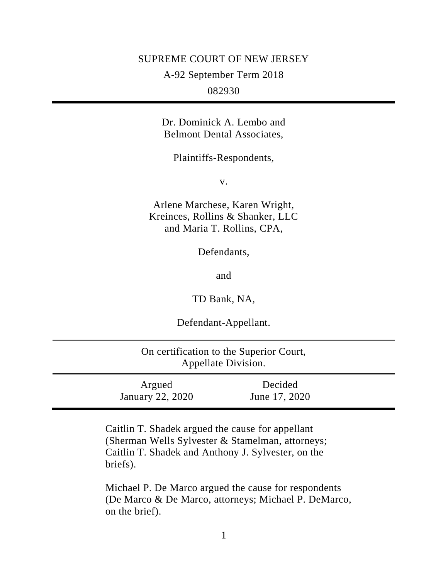## SUPREME COURT OF NEW JERSEY

A-92 September Term 2018

082930

Dr. Dominick A. Lembo and Belmont Dental Associates,

Plaintiffs-Respondents,

v.

Arlene Marchese, Karen Wright, Kreinces, Rollins & Shanker, LLC and Maria T. Rollins, CPA,

Defendants,

and

TD Bank, NA,

Defendant-Appellant.

| On certification to the Superior Court,<br>Appellate Division. |                          |  |
|----------------------------------------------------------------|--------------------------|--|
| Argued<br>January 22, 2020                                     | Decided<br>June 17, 2020 |  |

Caitlin T. Shadek argued the cause for appellant (Sherman Wells Sylvester & Stamelman, attorneys; Caitlin T. Shadek and Anthony J. Sylvester, on the briefs).

Michael P. De Marco argued the cause for respondents (De Marco & De Marco, attorneys; Michael P. DeMarco, on the brief).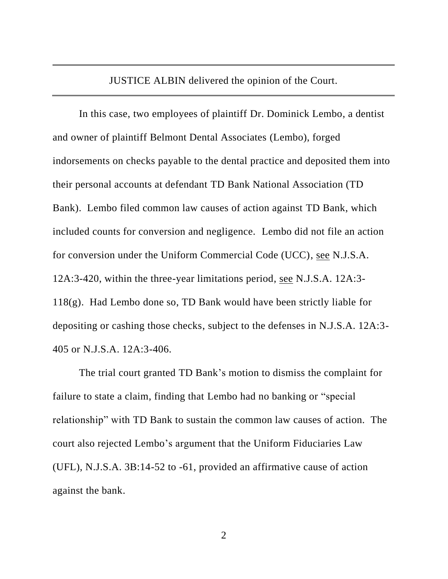JUSTICE ALBIN delivered the opinion of the Court.

In this case, two employees of plaintiff Dr. Dominick Lembo, a dentist and owner of plaintiff Belmont Dental Associates (Lembo), forged indorsements on checks payable to the dental practice and deposited them into their personal accounts at defendant TD Bank National Association (TD Bank). Lembo filed common law causes of action against TD Bank, which included counts for conversion and negligence. Lembo did not file an action for conversion under the Uniform Commercial Code (UCC), see N.J.S.A. 12A:3-420, within the three-year limitations period, see N.J.S.A. 12A:3-  $118(g)$ . Had Lembo done so, TD Bank would have been strictly liable for depositing or cashing those checks, subject to the defenses in N.J.S.A. 12A:3- 405 or N.J.S.A. 12A:3-406.

The trial court granted TD Bank's motion to dismiss the complaint for failure to state a claim, finding that Lembo had no banking or "special relationship" with TD Bank to sustain the common law causes of action. The court also rejected Lembo's argument that the Uniform Fiduciaries Law (UFL), N.J.S.A. 3B:14-52 to -61, provided an affirmative cause of action against the bank.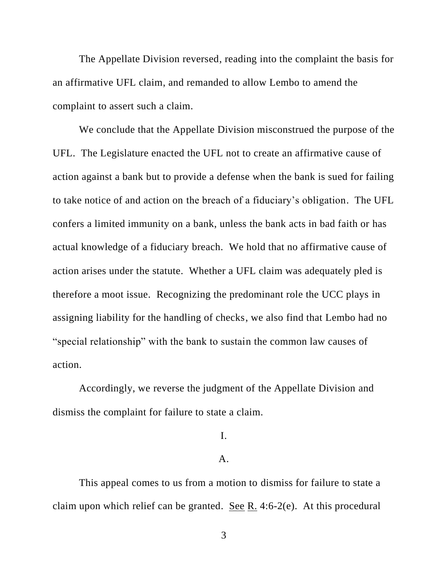The Appellate Division reversed, reading into the complaint the basis for an affirmative UFL claim, and remanded to allow Lembo to amend the complaint to assert such a claim.

We conclude that the Appellate Division misconstrued the purpose of the UFL. The Legislature enacted the UFL not to create an affirmative cause of action against a bank but to provide a defense when the bank is sued for failing to take notice of and action on the breach of a fiduciary's obligation. The UFL confers a limited immunity on a bank, unless the bank acts in bad faith or has actual knowledge of a fiduciary breach. We hold that no affirmative cause of action arises under the statute. Whether a UFL claim was adequately pled is therefore a moot issue. Recognizing the predominant role the UCC plays in assigning liability for the handling of checks, we also find that Lembo had no "special relationship" with the bank to sustain the common law causes of action.

Accordingly, we reverse the judgment of the Appellate Division and dismiss the complaint for failure to state a claim.

# I.

## A.

This appeal comes to us from a motion to dismiss for failure to state a claim upon which relief can be granted. See R. 4:6-2(e). At this procedural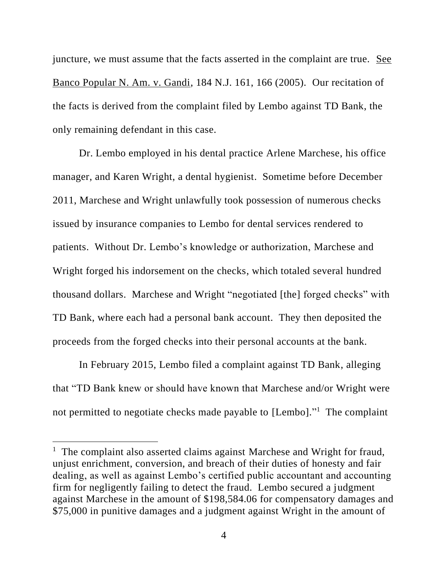juncture, we must assume that the facts asserted in the complaint are true. See Banco Popular N. Am. v. Gandi, 184 N.J. 161, 166 (2005). Our recitation of the facts is derived from the complaint filed by Lembo against TD Bank, the only remaining defendant in this case.

Dr. Lembo employed in his dental practice Arlene Marchese, his office manager, and Karen Wright, a dental hygienist. Sometime before December 2011, Marchese and Wright unlawfully took possession of numerous checks issued by insurance companies to Lembo for dental services rendered to patients. Without Dr. Lembo's knowledge or authorization, Marchese and Wright forged his indorsement on the checks, which totaled several hundred thousand dollars. Marchese and Wright "negotiated [the] forged checks" with TD Bank, where each had a personal bank account. They then deposited the proceeds from the forged checks into their personal accounts at the bank.

In February 2015, Lembo filed a complaint against TD Bank, alleging that "TD Bank knew or should have known that Marchese and/or Wright were not permitted to negotiate checks made payable to [Lembo]."<sup>1</sup> The complaint

<sup>&</sup>lt;sup>1</sup> The complaint also asserted claims against Marchese and Wright for fraud, unjust enrichment, conversion, and breach of their duties of honesty and fair dealing, as well as against Lembo's certified public accountant and accounting firm for negligently failing to detect the fraud. Lembo secured a judgment against Marchese in the amount of \$198,584.06 for compensatory damages and \$75,000 in punitive damages and a judgment against Wright in the amount of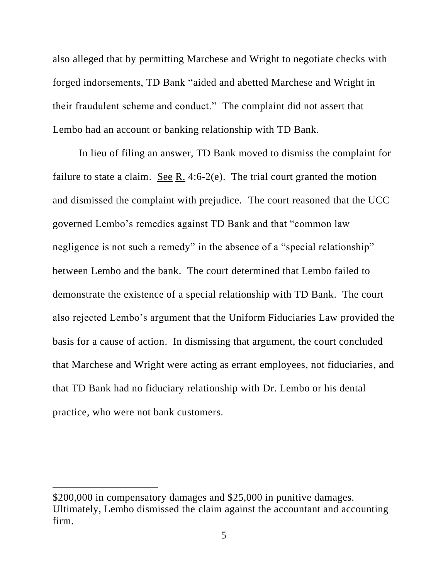also alleged that by permitting Marchese and Wright to negotiate checks with forged indorsements, TD Bank "aided and abetted Marchese and Wright in their fraudulent scheme and conduct." The complaint did not assert that Lembo had an account or banking relationship with TD Bank.

In lieu of filing an answer, TD Bank moved to dismiss the complaint for failure to state a claim. See R. 4:6-2(e). The trial court granted the motion and dismissed the complaint with prejudice. The court reasoned that the UCC governed Lembo's remedies against TD Bank and that "common law negligence is not such a remedy" in the absence of a "special relationship" between Lembo and the bank. The court determined that Lembo failed to demonstrate the existence of a special relationship with TD Bank. The court also rejected Lembo's argument that the Uniform Fiduciaries Law provided the basis for a cause of action. In dismissing that argument, the court concluded that Marchese and Wright were acting as errant employees, not fiduciaries, and that TD Bank had no fiduciary relationship with Dr. Lembo or his dental practice, who were not bank customers.

<sup>\$200,000</sup> in compensatory damages and \$25,000 in punitive damages. Ultimately, Lembo dismissed the claim against the accountant and accounting firm.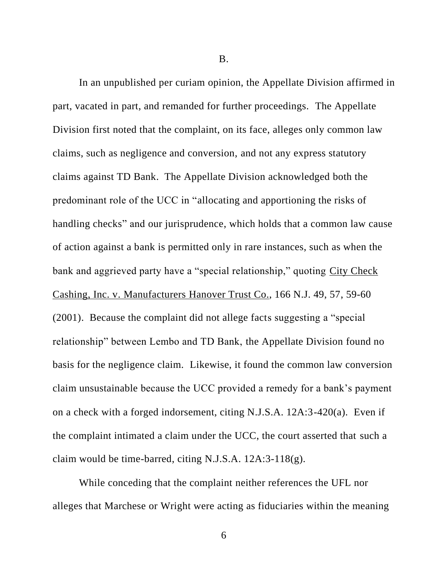B.

In an unpublished per curiam opinion, the Appellate Division affirmed in part, vacated in part, and remanded for further proceedings. The Appellate Division first noted that the complaint, on its face, alleges only common law claims, such as negligence and conversion, and not any express statutory claims against TD Bank. The Appellate Division acknowledged both the predominant role of the UCC in "allocating and apportioning the risks of handling checks" and our jurisprudence, which holds that a common law cause of action against a bank is permitted only in rare instances, such as when the bank and aggrieved party have a "special relationship," quoting City Check Cashing, Inc. v. Manufacturers Hanover Trust Co., 166 N.J. 49, 57, 59-60 (2001). Because the complaint did not allege facts suggesting a "special relationship" between Lembo and TD Bank, the Appellate Division found no basis for the negligence claim. Likewise, it found the common law conversion claim unsustainable because the UCC provided a remedy for a bank's payment on a check with a forged indorsement, citing N.J.S.A. 12A:3-420(a). Even if the complaint intimated a claim under the UCC, the court asserted that such a claim would be time-barred, citing N.J.S.A. 12A:3-118(g).

While conceding that the complaint neither references the UFL nor alleges that Marchese or Wright were acting as fiduciaries within the meaning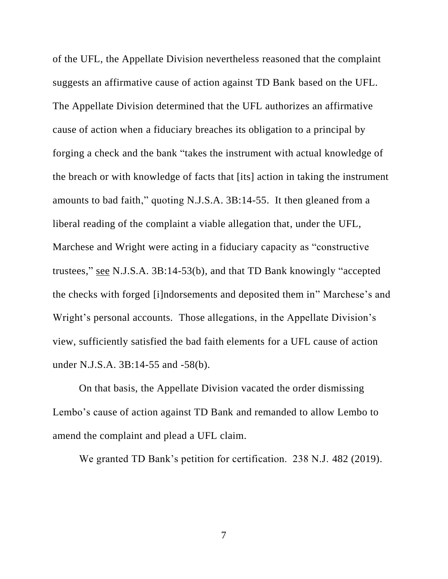of the UFL, the Appellate Division nevertheless reasoned that the complaint suggests an affirmative cause of action against TD Bank based on the UFL. The Appellate Division determined that the UFL authorizes an affirmative cause of action when a fiduciary breaches its obligation to a principal by forging a check and the bank "takes the instrument with actual knowledge of the breach or with knowledge of facts that [its] action in taking the instrument amounts to bad faith," quoting N.J.S.A. 3B:14-55. It then gleaned from a liberal reading of the complaint a viable allegation that, under the UFL, Marchese and Wright were acting in a fiduciary capacity as "constructive trustees," see N.J.S.A. 3B:14-53(b), and that TD Bank knowingly "accepted the checks with forged [i]ndorsements and deposited them in" Marchese's and Wright's personal accounts. Those allegations, in the Appellate Division's view, sufficiently satisfied the bad faith elements for a UFL cause of action under N.J.S.A. 3B:14-55 and -58(b).

On that basis, the Appellate Division vacated the order dismissing Lembo's cause of action against TD Bank and remanded to allow Lembo to amend the complaint and plead a UFL claim.

We granted TD Bank's petition for certification. 238 N.J. 482 (2019).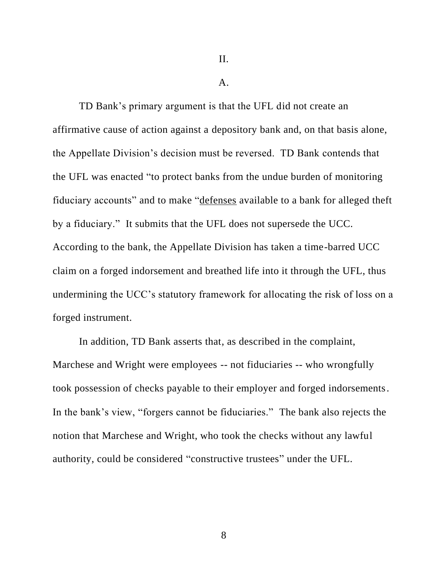II.

 $\mathbf{A}$ .

TD Bank's primary argument is that the UFL did not create an affirmative cause of action against a depository bank and, on that basis alone, the Appellate Division's decision must be reversed. TD Bank contends that the UFL was enacted "to protect banks from the undue burden of monitoring fiduciary accounts" and to make "defenses available to a bank for alleged theft by a fiduciary." It submits that the UFL does not supersede the UCC. According to the bank, the Appellate Division has taken a time-barred UCC claim on a forged indorsement and breathed life into it through the UFL, thus undermining the UCC's statutory framework for allocating the risk of loss on a forged instrument.

In addition, TD Bank asserts that, as described in the complaint, Marchese and Wright were employees -- not fiduciaries -- who wrongfully took possession of checks payable to their employer and forged indorsements. In the bank's view, "forgers cannot be fiduciaries." The bank also rejects the notion that Marchese and Wright, who took the checks without any lawful authority, could be considered "constructive trustees" under the UFL.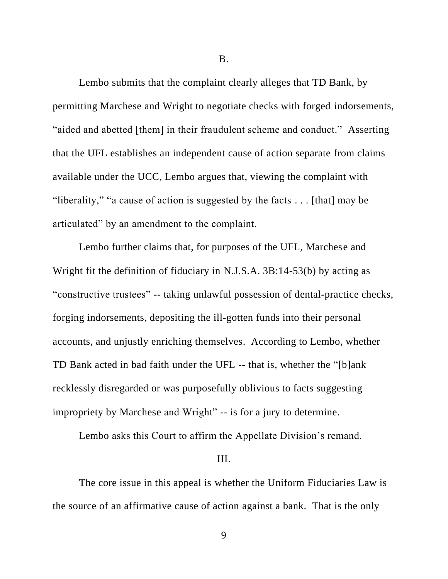B.

Lembo submits that the complaint clearly alleges that TD Bank, by permitting Marchese and Wright to negotiate checks with forged indorsements, "aided and abetted [them] in their fraudulent scheme and conduct." Asserting that the UFL establishes an independent cause of action separate from claims available under the UCC, Lembo argues that, viewing the complaint with "liberality," "a cause of action is suggested by the facts . . . [that] may be articulated" by an amendment to the complaint.

Lembo further claims that, for purposes of the UFL, Marchese and Wright fit the definition of fiduciary in N.J.S.A. 3B:14-53(b) by acting as "constructive trustees" -- taking unlawful possession of dental-practice checks, forging indorsements, depositing the ill-gotten funds into their personal accounts, and unjustly enriching themselves. According to Lembo, whether TD Bank acted in bad faith under the UFL -- that is, whether the "[b]ank recklessly disregarded or was purposefully oblivious to facts suggesting impropriety by Marchese and Wright" -- is for a jury to determine.

Lembo asks this Court to affirm the Appellate Division's remand.

### III.

The core issue in this appeal is whether the Uniform Fiduciaries Law is the source of an affirmative cause of action against a bank. That is the only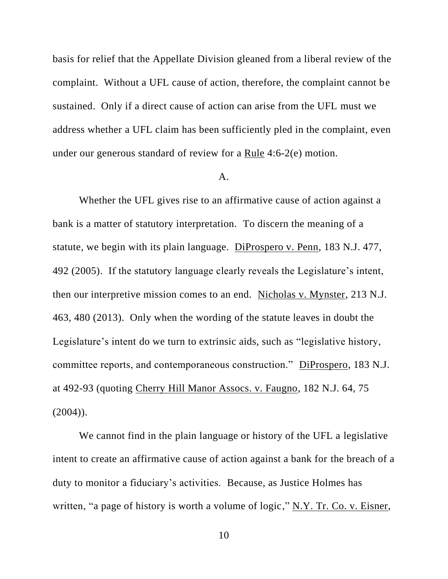basis for relief that the Appellate Division gleaned from a liberal review of the complaint. Without a UFL cause of action, therefore, the complaint cannot be sustained. Only if a direct cause of action can arise from the UFL must we address whether a UFL claim has been sufficiently pled in the complaint, even under our generous standard of review for a Rule 4:6-2(e) motion.

## A.

Whether the UFL gives rise to an affirmative cause of action against a bank is a matter of statutory interpretation. To discern the meaning of a statute, we begin with its plain language. DiProspero v. Penn, 183 N.J. 477, 492 (2005). If the statutory language clearly reveals the Legislature's intent, then our interpretive mission comes to an end. Nicholas v. Mynster, 213 N.J. 463, 480 (2013). Only when the wording of the statute leaves in doubt the Legislature's intent do we turn to extrinsic aids, such as "legislative history, committee reports, and contemporaneous construction." DiProspero, 183 N.J. at 492-93 (quoting Cherry Hill Manor Assocs. v. Faugno, 182 N.J. 64, 75  $(2004)$ ).

We cannot find in the plain language or history of the UFL a legislative intent to create an affirmative cause of action against a bank for the breach of a duty to monitor a fiduciary's activities. Because, as Justice Holmes has written, "a page of history is worth a volume of logic," N.Y. Tr. Co. v. Eisner,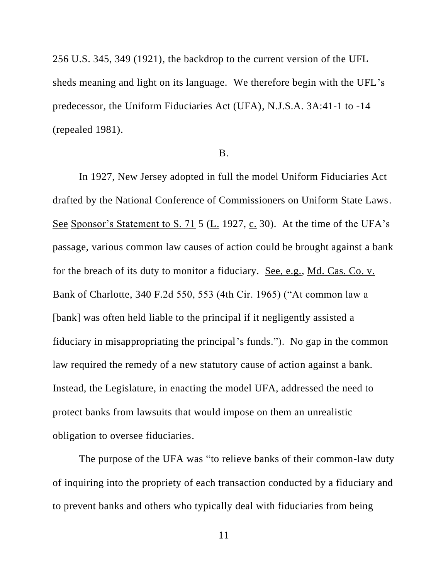256 U.S. 345, 349 (1921), the backdrop to the current version of the UFL sheds meaning and light on its language. We therefore begin with the UFL's predecessor, the Uniform Fiduciaries Act (UFA), N.J.S.A. 3A:41-1 to -14 (repealed 1981).

## B.

In 1927, New Jersey adopted in full the model Uniform Fiduciaries Act drafted by the National Conference of Commissioners on Uniform State Laws. See Sponsor's Statement to S. 71 5 (L. 1927, c. 30). At the time of the UFA's passage, various common law causes of action could be brought against a bank for the breach of its duty to monitor a fiduciary. See, e.g., Md. Cas. Co. v. Bank of Charlotte, 340 F.2d 550, 553 (4th Cir. 1965) ("At common law a [bank] was often held liable to the principal if it negligently assisted a fiduciary in misappropriating the principal's funds."). No gap in the common law required the remedy of a new statutory cause of action against a bank. Instead, the Legislature, in enacting the model UFA, addressed the need to protect banks from lawsuits that would impose on them an unrealistic obligation to oversee fiduciaries.

The purpose of the UFA was "to relieve banks of their common-law duty of inquiring into the propriety of each transaction conducted by a fiduciary and to prevent banks and others who typically deal with fiduciaries from being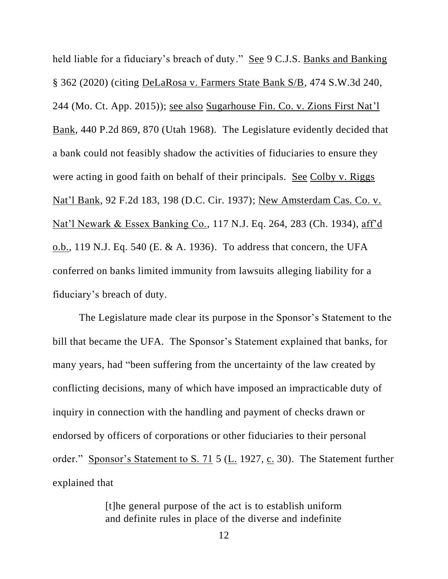held liable for a fiduciary's breach of duty." See 9 C.J.S. Banks and Banking § 362 (2020) (citing DeLaRosa v. Farmers State Bank S/B, 474 S.W.3d 240, 244 (Mo. Ct. App. 2015)); see also Sugarhouse Fin. Co. v. Zions First Nat'l Bank, 440 P.2d 869, 870 (Utah 1968). The Legislature evidently decided that a bank could not feasibly shadow the activities of fiduciaries to ensure they were acting in good faith on behalf of their principals. See Colby v. Riggs Nat'l Bank, 92 F.2d 183, 198 (D.C. Cir. 1937); New Amsterdam Cas. Co. v. Nat'l Newark & Essex Banking Co., 117 N.J. Eq. 264, 283 (Ch. 1934), aff'd o.b., 119 N.J. Eq. 540 (E. & A. 1936). To address that concern, the UFA conferred on banks limited immunity from lawsuits alleging liability for a fiduciary's breach of duty.

The Legislature made clear its purpose in the Sponsor's Statement to the bill that became the UFA. The Sponsor's Statement explained that banks, for many years, had "been suffering from the uncertainty of the law created by conflicting decisions, many of which have imposed an impracticable duty of inquiry in connection with the handling and payment of checks drawn or endorsed by officers of corporations or other fiduciaries to their personal order." Sponsor's Statement to S. 71 5 (L. 1927, c. 30). The Statement further explained that

> [t]he general purpose of the act is to establish uniform and definite rules in place of the diverse and indefinite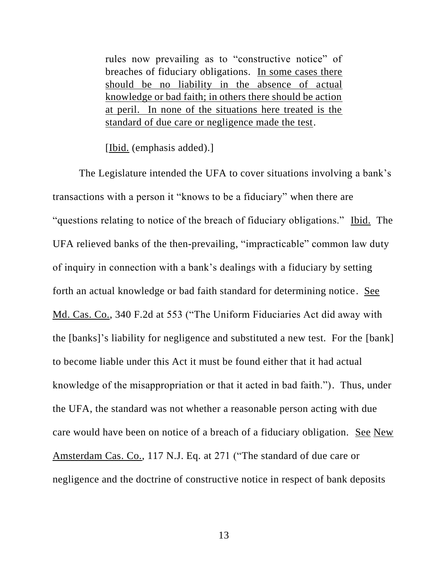rules now prevailing as to "constructive notice" of breaches of fiduciary obligations. In some cases there should be no liability in the absence of actual knowledge or bad faith; in others there should be action at peril. In none of the situations here treated is the standard of due care or negligence made the test.

[Ibid. (emphasis added).]

The Legislature intended the UFA to cover situations involving a bank's transactions with a person it "knows to be a fiduciary" when there are "questions relating to notice of the breach of fiduciary obligations." Ibid. The UFA relieved banks of the then-prevailing, "impracticable" common law duty of inquiry in connection with a bank's dealings with a fiduciary by setting forth an actual knowledge or bad faith standard for determining notice. See Md. Cas. Co., 340 F.2d at 553 ("The Uniform Fiduciaries Act did away with the [banks]'s liability for negligence and substituted a new test. For the [bank] to become liable under this Act it must be found either that it had actual knowledge of the misappropriation or that it acted in bad faith."). Thus, under the UFA, the standard was not whether a reasonable person acting with due care would have been on notice of a breach of a fiduciary obligation. See New Amsterdam Cas. Co., 117 N.J. Eq. at 271 ("The standard of due care or negligence and the doctrine of constructive notice in respect of bank deposits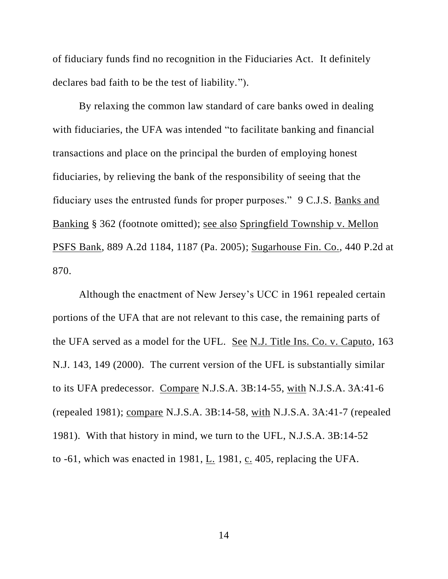of fiduciary funds find no recognition in the Fiduciaries Act. It definitely declares bad faith to be the test of liability.").

By relaxing the common law standard of care banks owed in dealing with fiduciaries, the UFA was intended "to facilitate banking and financial transactions and place on the principal the burden of employing honest fiduciaries, by relieving the bank of the responsibility of seeing that the fiduciary uses the entrusted funds for proper purposes." 9 C.J.S. Banks and Banking § 362 (footnote omitted); see also Springfield Township v. Mellon PSFS Bank, 889 A.2d 1184, 1187 (Pa. 2005); Sugarhouse Fin. Co., 440 P.2d at 870.

Although the enactment of New Jersey's UCC in 1961 repealed certain portions of the UFA that are not relevant to this case, the remaining parts of the UFA served as a model for the UFL. See N.J. Title Ins. Co. v. Caputo, 163 N.J. 143, 149 (2000). The current version of the UFL is substantially similar to its UFA predecessor. Compare N.J.S.A. 3B:14-55, with N.J.S.A. 3A:41-6 (repealed 1981); compare N.J.S.A. 3B:14-58, with N.J.S.A. 3A:41-7 (repealed 1981). With that history in mind, we turn to the UFL, N.J.S.A. 3B:14-52 to -61, which was enacted in 1981, L. 1981, c. 405, replacing the UFA.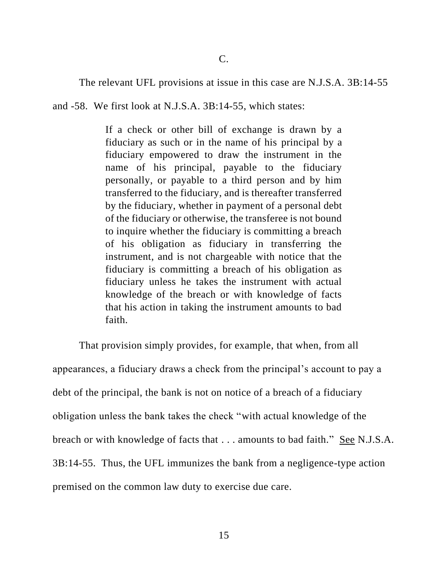The relevant UFL provisions at issue in this case are N.J.S.A. 3B:14-55

and -58. We first look at N.J.S.A. 3B:14-55, which states:

If a check or other bill of exchange is drawn by a fiduciary as such or in the name of his principal by a fiduciary empowered to draw the instrument in the name of his principal, payable to the fiduciary personally, or payable to a third person and by him transferred to the fiduciary, and is thereafter transferred by the fiduciary, whether in payment of a personal debt of the fiduciary or otherwise, the transferee is not bound to inquire whether the fiduciary is committing a breach of his obligation as fiduciary in transferring the instrument, and is not chargeable with notice that the fiduciary is committing a breach of his obligation as fiduciary unless he takes the instrument with actual knowledge of the breach or with knowledge of facts that his action in taking the instrument amounts to bad faith.

That provision simply provides, for example, that when, from all appearances, a fiduciary draws a check from the principal's account to pay a debt of the principal, the bank is not on notice of a breach of a fiduciary obligation unless the bank takes the check "with actual knowledge of the breach or with knowledge of facts that . . . amounts to bad faith." See N.J.S.A. 3B:14-55. Thus, the UFL immunizes the bank from a negligence-type action premised on the common law duty to exercise due care.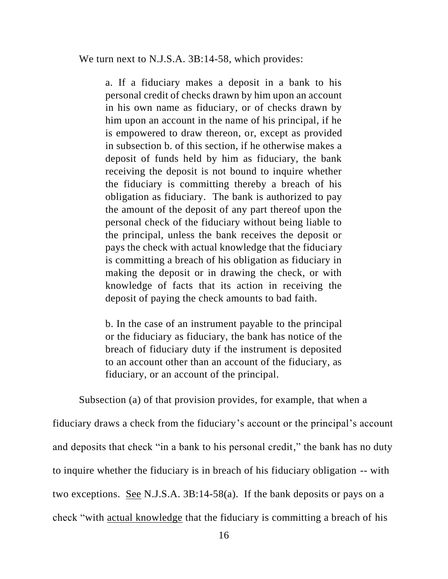We turn next to N.J.S.A. 3B:14-58, which provides:

a. If a fiduciary makes a deposit in a bank to his personal credit of checks drawn by him upon an account in his own name as fiduciary, or of checks drawn by him upon an account in the name of his principal, if he is empowered to draw thereon, or, except as provided in subsection b. of this section, if he otherwise makes a deposit of funds held by him as fiduciary, the bank receiving the deposit is not bound to inquire whether the fiduciary is committing thereby a breach of his obligation as fiduciary. The bank is authorized to pay the amount of the deposit of any part thereof upon the personal check of the fiduciary without being liable to the principal, unless the bank receives the deposit or pays the check with actual knowledge that the fiduciary is committing a breach of his obligation as fiduciary in making the deposit or in drawing the check, or with knowledge of facts that its action in receiving the deposit of paying the check amounts to bad faith.

b. In the case of an instrument payable to the principal or the fiduciary as fiduciary, the bank has notice of the breach of fiduciary duty if the instrument is deposited to an account other than an account of the fiduciary, as fiduciary, or an account of the principal.

Subsection (a) of that provision provides, for example, that when a

fiduciary draws a check from the fiduciary's account or the principal's account and deposits that check "in a bank to his personal credit," the bank has no duty to inquire whether the fiduciary is in breach of his fiduciary obligation -- with two exceptions. See N.J.S.A. 3B:14-58(a). If the bank deposits or pays on a check "with actual knowledge that the fiduciary is committing a breach of his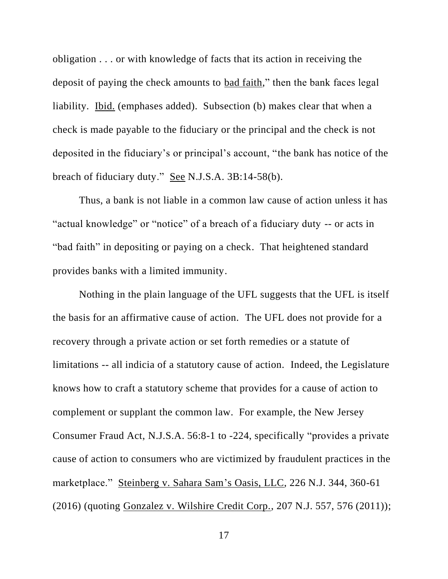obligation . . . or with knowledge of facts that its action in receiving the deposit of paying the check amounts to bad faith," then the bank faces legal liability. Ibid. (emphases added). Subsection (b) makes clear that when a check is made payable to the fiduciary or the principal and the check is not deposited in the fiduciary's or principal's account, "the bank has notice of the breach of fiduciary duty." See N.J.S.A. 3B:14-58(b).

Thus, a bank is not liable in a common law cause of action unless it has "actual knowledge" or "notice" of a breach of a fiduciary duty -- or acts in "bad faith" in depositing or paying on a check. That heightened standard provides banks with a limited immunity.

Nothing in the plain language of the UFL suggests that the UFL is itself the basis for an affirmative cause of action. The UFL does not provide for a recovery through a private action or set forth remedies or a statute of limitations -- all indicia of a statutory cause of action. Indeed, the Legislature knows how to craft a statutory scheme that provides for a cause of action to complement or supplant the common law. For example, the New Jersey Consumer Fraud Act, N.J.S.A. 56:8-1 to -224, specifically "provides a private cause of action to consumers who are victimized by fraudulent practices in the marketplace." Steinberg v. Sahara Sam's Oasis, LLC, 226 N.J. 344, 360-61 (2016) (quoting Gonzalez v. Wilshire Credit Corp., 207 N.J. 557, 576 (2011));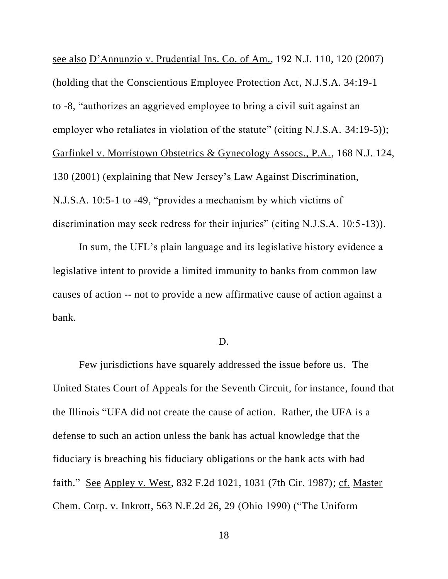see also D'Annunzio v. Prudential Ins. Co. of Am., 192 N.J. 110, 120 (2007) (holding that the Conscientious Employee Protection Act, N.J.S.A. 34:19-1 to -8, "authorizes an aggrieved employee to bring a civil suit against an employer who retaliates in violation of the statute" (citing N.J.S.A. 34:19-5)); Garfinkel v. Morristown Obstetrics & Gynecology Assocs., P.A., 168 N.J. 124, 130 (2001) (explaining that New Jersey's Law Against Discrimination, N.J.S.A. 10:5-1 to -49, "provides a mechanism by which victims of discrimination may seek redress for their injuries" (citing N.J.S.A. 10:5-13)).

In sum, the UFL's plain language and its legislative history evidence a legislative intent to provide a limited immunity to banks from common law causes of action -- not to provide a new affirmative cause of action against a bank.

### D.

Few jurisdictions have squarely addressed the issue before us. The United States Court of Appeals for the Seventh Circuit, for instance, found that the Illinois "UFA did not create the cause of action. Rather, the UFA is a defense to such an action unless the bank has actual knowledge that the fiduciary is breaching his fiduciary obligations or the bank acts with bad faith." See Appley v. West, 832 F.2d 1021, 1031 (7th Cir. 1987); cf. Master Chem. Corp. v. Inkrott, 563 N.E.2d 26, 29 (Ohio 1990) ("The Uniform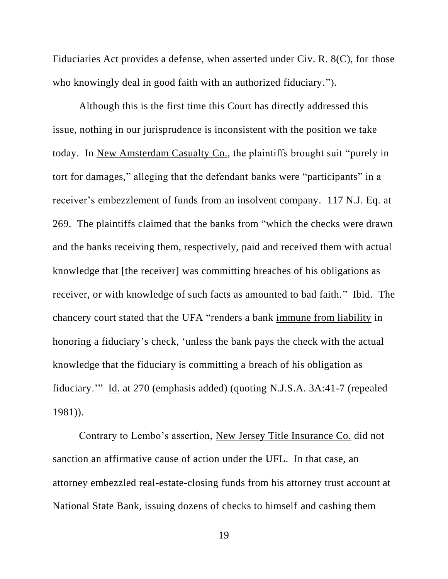Fiduciaries Act provides a defense, when asserted under Civ. R. 8(C), for those who knowingly deal in good faith with an authorized fiduciary.").

Although this is the first time this Court has directly addressed this issue, nothing in our jurisprudence is inconsistent with the position we take today. In New Amsterdam Casualty Co., the plaintiffs brought suit "purely in tort for damages," alleging that the defendant banks were "participants" in a receiver's embezzlement of funds from an insolvent company. 117 N.J. Eq. at 269. The plaintiffs claimed that the banks from "which the checks were drawn and the banks receiving them, respectively, paid and received them with actual knowledge that [the receiver] was committing breaches of his obligations as receiver, or with knowledge of such facts as amounted to bad faith." Ibid. The chancery court stated that the UFA "renders a bank immune from liability in honoring a fiduciary's check, 'unless the bank pays the check with the actual knowledge that the fiduciary is committing a breach of his obligation as fiduciary.'" Id. at 270 (emphasis added) (quoting N.J.S.A. 3A:41-7 (repealed 1981)).

Contrary to Lembo's assertion, New Jersey Title Insurance Co. did not sanction an affirmative cause of action under the UFL. In that case, an attorney embezzled real-estate-closing funds from his attorney trust account at National State Bank, issuing dozens of checks to himself and cashing them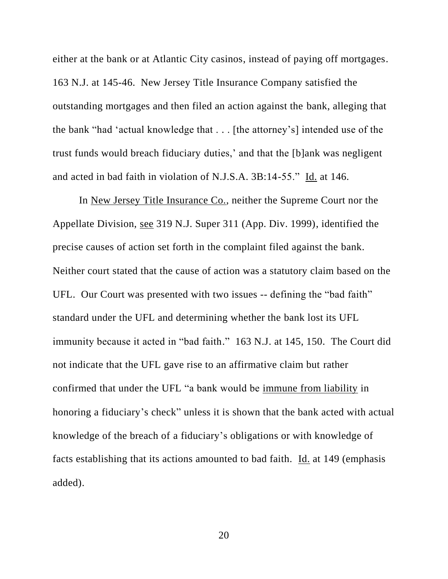either at the bank or at Atlantic City casinos, instead of paying off mortgages. 163 N.J. at 145-46. New Jersey Title Insurance Company satisfied the outstanding mortgages and then filed an action against the bank, alleging that the bank "had 'actual knowledge that . . . [the attorney's] intended use of the trust funds would breach fiduciary duties,' and that the [b]ank was negligent and acted in bad faith in violation of N.J.S.A. 3B:14-55." Id. at 146.

In New Jersey Title Insurance Co., neither the Supreme Court nor the Appellate Division, see 319 N.J. Super 311 (App. Div. 1999), identified the precise causes of action set forth in the complaint filed against the bank. Neither court stated that the cause of action was a statutory claim based on the UFL. Our Court was presented with two issues -- defining the "bad faith" standard under the UFL and determining whether the bank lost its UFL immunity because it acted in "bad faith." 163 N.J. at 145, 150. The Court did not indicate that the UFL gave rise to an affirmative claim but rather confirmed that under the UFL "a bank would be immune from liability in honoring a fiduciary's check" unless it is shown that the bank acted with actual knowledge of the breach of a fiduciary's obligations or with knowledge of facts establishing that its actions amounted to bad faith. Id. at 149 (emphasis added).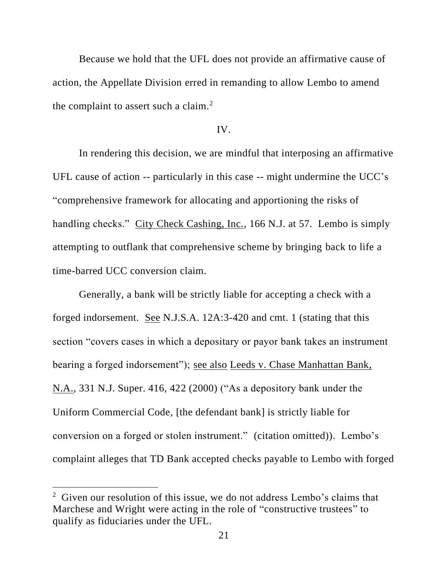Because we hold that the UFL does not provide an affirmative cause of action, the Appellate Division erred in remanding to allow Lembo to amend the complaint to assert such a claim.<sup>2</sup>

## IV.

In rendering this decision, we are mindful that interposing an affirmative UFL cause of action -- particularly in this case -- might undermine the UCC's "comprehensive framework for allocating and apportioning the risks of handling checks." City Check Cashing, Inc., 166 N.J. at 57. Lembo is simply attempting to outflank that comprehensive scheme by bringing back to life a time-barred UCC conversion claim.

Generally, a bank will be strictly liable for accepting a check with a forged indorsement. See N.J.S.A. 12A:3-420 and cmt. 1 (stating that this section "covers cases in which a depositary or payor bank takes an instrument bearing a forged indorsement"); see also Leeds v. Chase Manhattan Bank, N.A., 331 N.J. Super. 416, 422 (2000) ("As a depository bank under the Uniform Commercial Code, [the defendant bank] is strictly liable for conversion on a forged or stolen instrument." (citation omitted)). Lembo's complaint alleges that TD Bank accepted checks payable to Lembo with forged

<sup>&</sup>lt;sup>2</sup> Given our resolution of this issue, we do not address Lembo's claims that Marchese and Wright were acting in the role of "constructive trustees" to qualify as fiduciaries under the UFL.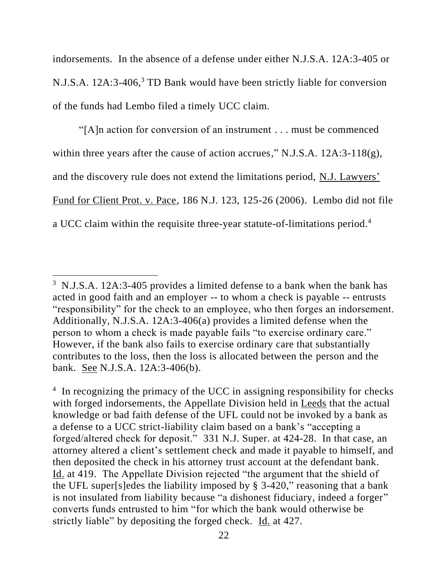indorsements. In the absence of a defense under either N.J.S.A. 12A:3-405 or N.J.S.A. 12A:3-406,<sup>3</sup> TD Bank would have been strictly liable for conversion of the funds had Lembo filed a timely UCC claim.

"[A]n action for conversion of an instrument . . . must be commenced within three years after the cause of action accrues," N.J.S.A. 12A:3-118(g), and the discovery rule does not extend the limitations period, N.J. Lawyers' Fund for Client Prot. v. Pace, 186 N.J. 123, 125-26 (2006). Lembo did not file a UCC claim within the requisite three-year statute-of-limitations period.<sup>4</sup>

<sup>&</sup>lt;sup>3</sup> N.J.S.A. 12A:3-405 provides a limited defense to a bank when the bank has acted in good faith and an employer -- to whom a check is payable -- entrusts "responsibility" for the check to an employee, who then forges an indorsement. Additionally, N.J.S.A. 12A:3-406(a) provides a limited defense when the person to whom a check is made payable fails "to exercise ordinary care." However, if the bank also fails to exercise ordinary care that substantially contributes to the loss, then the loss is allocated between the person and the bank. See N.J.S.A. 12A:3-406(b).

<sup>&</sup>lt;sup>4</sup> In recognizing the primacy of the UCC in assigning responsibility for checks with forged indorsements, the Appellate Division held in Leeds that the actual knowledge or bad faith defense of the UFL could not be invoked by a bank as a defense to a UCC strict-liability claim based on a bank's "accepting a forged/altered check for deposit." 331 N.J. Super. at 424-28. In that case, an attorney altered a client's settlement check and made it payable to himself, and then deposited the check in his attorney trust account at the defendant bank. Id. at 419. The Appellate Division rejected "the argument that the shield of the UFL super[s]edes the liability imposed by § 3-420," reasoning that a bank is not insulated from liability because "a dishonest fiduciary, indeed a forger" converts funds entrusted to him "for which the bank would otherwise be strictly liable" by depositing the forged check. Id. at 427.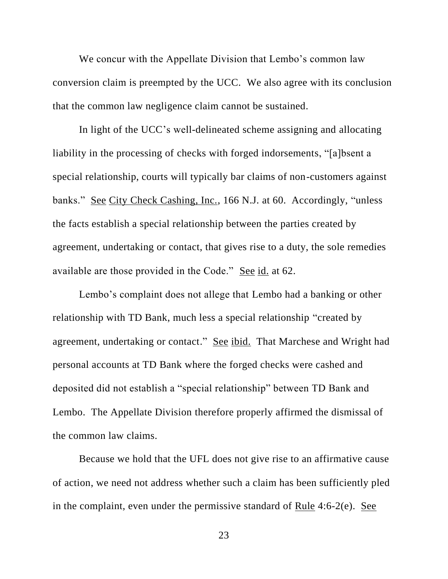We concur with the Appellate Division that Lembo's common law conversion claim is preempted by the UCC. We also agree with its conclusion that the common law negligence claim cannot be sustained.

In light of the UCC's well-delineated scheme assigning and allocating liability in the processing of checks with forged indorsements, "[a]bsent a special relationship, courts will typically bar claims of non-customers against banks." See City Check Cashing, Inc., 166 N.J. at 60. Accordingly, "unless the facts establish a special relationship between the parties created by agreement, undertaking or contact, that gives rise to a duty, the sole remedies available are those provided in the Code." See id. at 62.

Lembo's complaint does not allege that Lembo had a banking or other relationship with TD Bank, much less a special relationship "created by agreement, undertaking or contact." See ibid. That Marchese and Wright had personal accounts at TD Bank where the forged checks were cashed and deposited did not establish a "special relationship" between TD Bank and Lembo. The Appellate Division therefore properly affirmed the dismissal of the common law claims.

Because we hold that the UFL does not give rise to an affirmative cause of action, we need not address whether such a claim has been sufficiently pled in the complaint, even under the permissive standard of Rule 4:6-2(e). See